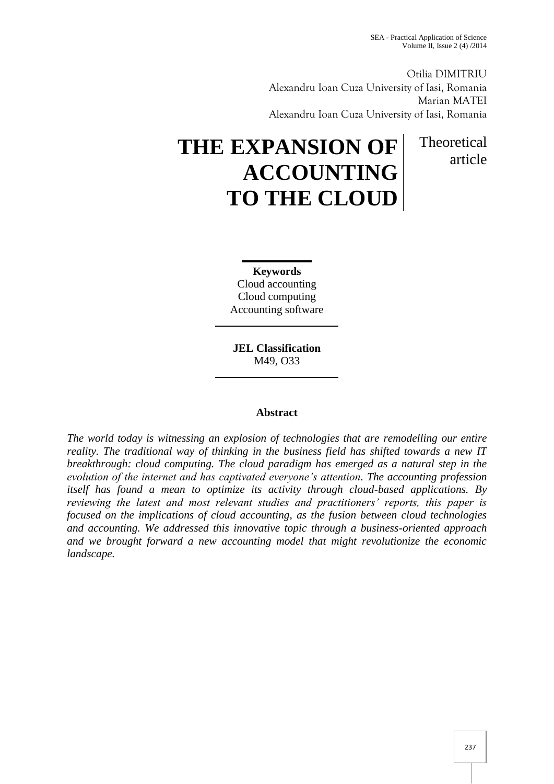article

Otilia DIMITRIU Alexandru Ioan Cuza University of Iasi, Romania Marian MATEI Alexandru Ioan Cuza University of Iasi, Romania

# **THE EXPANSION OF ACCOUNTING TO THE CLOUD** Theoretical

**Keywords** Cloud accounting Cloud computing Accounting software

**JEL Classification**  M49, O33

# **Abstract**

*The world today is witnessing an explosion of technologies that are remodelling our entire reality. The traditional way of thinking in the business field has shifted towards a new IT breakthrough: cloud computing. The cloud paradigm has emerged as a natural step in the evolution of the internet and has captivated everyone's attention. The accounting profession itself has found a mean to optimize its activity through cloud-based applications. By reviewing the latest and most relevant studies and practitioners' reports, this paper is focused on the implications of cloud accounting, as the fusion between cloud technologies and accounting. We addressed this innovative topic through a business-oriented approach and we brought forward a new accounting model that might revolutionize the economic landscape.*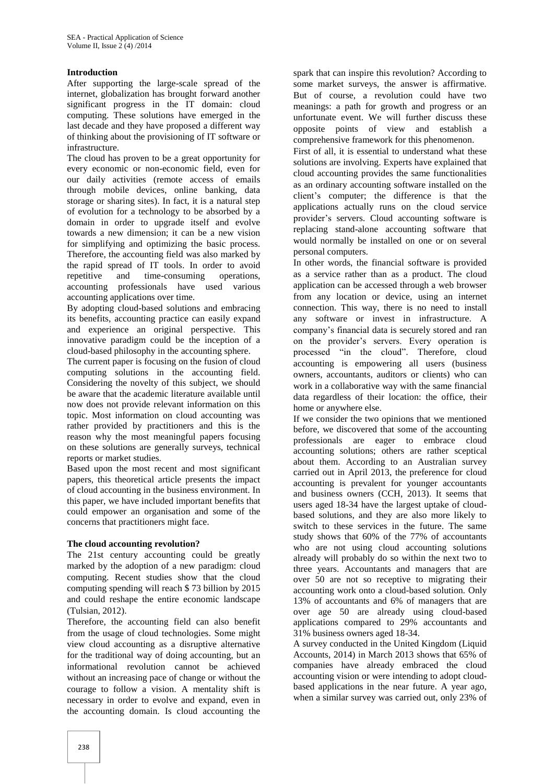# **Introduction**

After supporting the large-scale spread of the internet, globalization has brought forward another significant progress in the IT domain: cloud computing. These solutions have emerged in the last decade and they have proposed a different way of thinking about the provisioning of IT software or infrastructure.

The cloud has proven to be a great opportunity for every economic or non-economic field, even for our daily activities (remote access of emails through mobile devices, online banking, data storage or sharing sites). In fact, it is a natural step of evolution for a technology to be absorbed by a domain in order to upgrade itself and evolve towards a new dimension; it can be a new vision for simplifying and optimizing the basic process. Therefore, the accounting field was also marked by the rapid spread of IT tools. In order to avoid repetitive and time-consuming operations, accounting professionals have used various accounting applications over time.

By adopting cloud-based solutions and embracing its benefits, accounting practice can easily expand and experience an original perspective. This innovative paradigm could be the inception of a cloud-based philosophy in the accounting sphere.

The current paper is focusing on the fusion of cloud computing solutions in the accounting field. Considering the novelty of this subject, we should be aware that the academic literature available until now does not provide relevant information on this topic. Most information on cloud accounting was rather provided by practitioners and this is the reason why the most meaningful papers focusing on these solutions are generally surveys, technical reports or market studies.

Based upon the most recent and most significant papers, this theoretical article presents the impact of cloud accounting in the business environment. In this paper, we have included important benefits that could empower an organisation and some of the concerns that practitioners might face.

# **The cloud accounting revolution?**

The 21st century accounting could be greatly marked by the adoption of a new paradigm: cloud computing. Recent studies show that the cloud computing spending will reach \$ 73 billion by 2015 and could reshape the entire economic landscape (Tulsian, 2012).

Therefore, the accounting field can also benefit from the usage of cloud technologies. Some might view cloud accounting as a disruptive alternative for the traditional way of doing accounting, but an informational revolution cannot be achieved without an increasing pace of change or without the courage to follow a vision. A mentality shift is necessary in order to evolve and expand, even in the accounting domain. Is cloud accounting the

spark that can inspire this revolution? According to some market surveys, the answer is affirmative. But of course, a revolution could have two meanings: a path for growth and progress or an unfortunate event. We will further discuss these opposite points of view and establish a comprehensive framework for this phenomenon.

First of all, it is essential to understand what these solutions are involving. Experts have explained that cloud accounting provides the same functionalities as an ordinary accounting software installed on the client's computer; the difference is that the applications actually runs on the cloud service provider's servers. Cloud accounting software is replacing stand-alone accounting software that would normally be installed on one or on several personal computers.

In other words, the financial software is provided as a service rather than as a product. The cloud application can be accessed through a web browser from any location or device, using an internet connection. This way, there is no need to install any software or invest in infrastructure. A company's financial data is securely stored and ran on the provider's servers. Every operation is processed "in the cloud". Therefore, cloud accounting is empowering all users (business owners, accountants, auditors or clients) who can work in a collaborative way with the same financial data regardless of their location: the office, their home or anywhere else.

If we consider the two opinions that we mentioned before, we discovered that some of the accounting professionals are eager to embrace cloud accounting solutions; others are rather sceptical about them. According to an Australian survey carried out in April 2013, the preference for cloud accounting is prevalent for younger accountants and business owners (CCH, 2013). It seems that users aged 18-34 have the largest uptake of cloudbased solutions, and they are also more likely to switch to these services in the future. The same study shows that 60% of the 77% of accountants who are not using cloud accounting solutions already will probably do so within the next two to three years. Accountants and managers that are over 50 are not so receptive to migrating their accounting work onto a cloud-based solution. Only 13% of accountants and 6% of managers that are over age 50 are already using cloud-based applications compared to 29% accountants and 31% business owners aged 18-34.

A survey conducted in the United Kingdom (Liquid Accounts, 2014) in March 2013 shows that 65% of companies have already embraced the cloud accounting vision or were intending to adopt cloudbased applications in the near future. A year ago, when a similar survey was carried out, only 23% of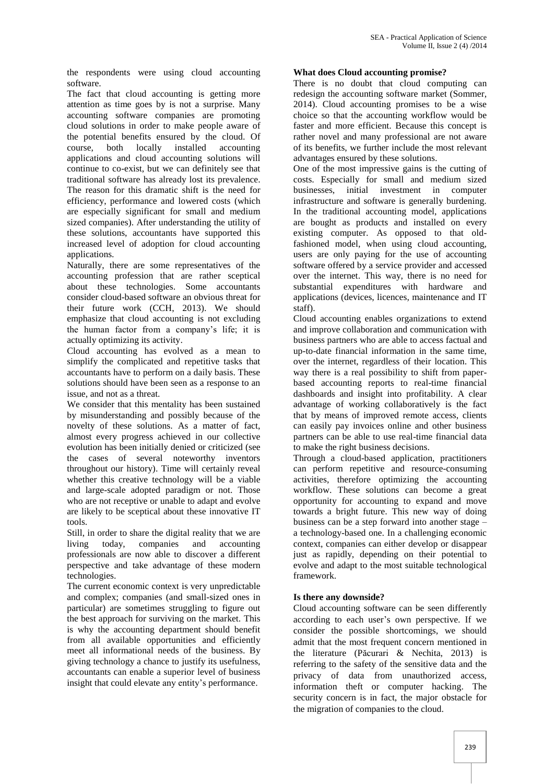the respondents were using cloud accounting software.

The fact that cloud accounting is getting more attention as time goes by is not a surprise. Many accounting software companies are promoting cloud solutions in order to make people aware of the potential benefits ensured by the cloud. Of course, both locally installed accounting applications and cloud accounting solutions will continue to co-exist, but we can definitely see that traditional software has already lost its prevalence. The reason for this dramatic shift is the need for efficiency, performance and lowered costs (which are especially significant for small and medium sized companies). After understanding the utility of these solutions, accountants have supported this increased level of adoption for cloud accounting applications.

Naturally, there are some representatives of the accounting profession that are rather sceptical about these technologies. Some accountants consider cloud-based software an obvious threat for their future work (CCH, 2013). We should emphasize that cloud accounting is not excluding the human factor from a company's life; it is actually optimizing its activity.

Cloud accounting has evolved as a mean to simplify the complicated and repetitive tasks that accountants have to perform on a daily basis. These solutions should have been seen as a response to an issue, and not as a threat.

We consider that this mentality has been sustained by misunderstanding and possibly because of the novelty of these solutions. As a matter of fact, almost every progress achieved in our collective evolution has been initially denied or criticized (see the cases of several noteworthy inventors throughout our history). Time will certainly reveal whether this creative technology will be a viable and large-scale adopted paradigm or not. Those who are not receptive or unable to adapt and evolve are likely to be sceptical about these innovative IT tools.

Still, in order to share the digital reality that we are living today, companies and accounting professionals are now able to discover a different perspective and take advantage of these modern technologies.

The current economic context is very unpredictable and complex; companies (and small-sized ones in particular) are sometimes struggling to figure out the best approach for surviving on the market. This is why the accounting department should benefit from all available opportunities and efficiently meet all informational needs of the business. By giving technology a chance to justify its usefulness, accountants can enable a superior level of business insight that could elevate any entity's performance.

# **What does Cloud accounting promise?**

There is no doubt that cloud computing can redesign the accounting software market (Sommer, 2014). Cloud accounting promises to be a wise choice so that the accounting workflow would be faster and more efficient. Because this concept is rather novel and many professional are not aware of its benefits, we further include the most relevant advantages ensured by these solutions.

One of the most impressive gains is the cutting of costs. Especially for small and medium sized businesses, initial investment in computer infrastructure and software is generally burdening. In the traditional accounting model, applications are bought as products and installed on every existing computer. As opposed to that oldfashioned model, when using cloud accounting, users are only paying for the use of accounting software offered by a service provider and accessed over the internet. This way, there is no need for substantial expenditures with hardware and applications (devices, licences, maintenance and IT staff).

Cloud accounting enables organizations to extend and improve collaboration and communication with business partners who are able to access factual and up-to-date financial information in the same time, over the internet, regardless of their location. This way there is a real possibility to shift from paperbased accounting reports to real-time financial dashboards and insight into profitability. A clear advantage of working collaboratively is the fact that by means of improved remote access, clients can easily pay invoices online and other business partners can be able to use real-time financial data to make the right business decisions.

Through a cloud-based application, practitioners can perform repetitive and resource-consuming activities, therefore optimizing the accounting workflow. These solutions can become a great opportunity for accounting to expand and move towards a bright future. This new way of doing business can be a step forward into another stage – a technology-based one. In a challenging economic context, companies can either develop or disappear just as rapidly, depending on their potential to evolve and adapt to the most suitable technological framework.

# **Is there any downside?**

Cloud accounting software can be seen differently according to each user's own perspective. If we consider the possible shortcomings, we should admit that the most frequent concern mentioned in the literature (Păcurari & Nechita, 2013) is referring to the safety of the sensitive data and the privacy of data from unauthorized access, information theft or computer hacking. The security concern is in fact, the major obstacle for the migration of companies to the cloud.